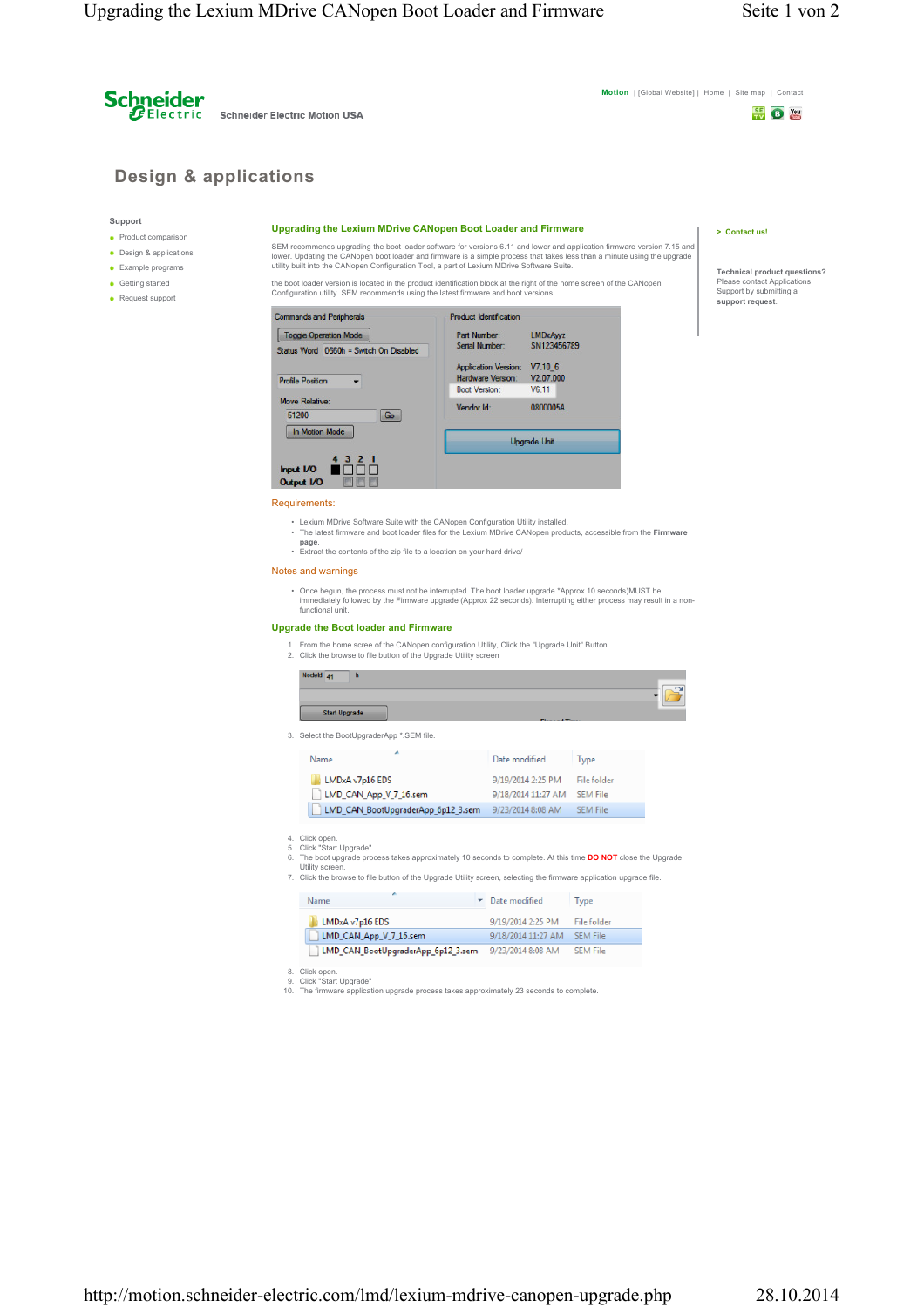**Schneider Electric Motion USA** 

**Motion** | [Global Website] | Home | Site map | Contact

## **BEE** B MAIL

**Technical product questions?** Please contact Applications Support by submitting a **support request**.

**> Contact us!**

# **Design & applications**

#### **Support**

**Product comparison** 

**Schneider** 

- Design & applications **Example programs**
- **Getting started**
- Request support

#### **Upgrading the Lexium MDrive CANopen Boot Loader and Firmware**

SEM recommends upgrading the boot loader software for versions 6.11 and lower and application firmware version 7.15 and lower. Updating the CANopen boot loader and firmware is a simple process that takes less than a minute using the upgrade<br>utility built into the CANopen Configuration Tool, a part of Lexium MDrive Software Suite.

the boot loader version is located in the product identification block at the right of the home screen of the CANopen Configuration utility. SEM recommends using the latest firmware and boot versions.



#### Requirements:

- 
- Lexium MDrive Software Suite with the CANopen Configuration Utility installed. The latest firmware and boot loader files for the Lexium MDrive CANopen products, accessible from the **Firmware page**.
- Extract the contents of the zip file to a location on your hard drive/

### Notes and warnings

• Once begun, the process must not be interrupted. The boot loader upgrade \*Approx 10 seconds)MUST be immediately followed by the Firmware upgrade (Approx 22 seconds). Interrupting either process may result in a non-functional unit.

#### **Upgrade the Boot loader and Firmware**

1. From the home scree of the CANopen configuration Utility, Click the "Upgrade Unit" Button. 2. Click the browse to file button of the Upgrade Utility screen

| 9/19/2014 2:25 PM  | File folder     |                             |
|--------------------|-----------------|-----------------------------|
| 9/18/2014 11:27 AM | <b>SEM File</b> |                             |
| 9/23/2014 8:08 AM  | <b>SEM File</b> |                             |
|                    |                 |                             |
|                    | Date modified   | <b>Elenand Time</b><br>Type |

- 
- 5. Click "Start Upgrade" 6. The boot upgrade process takes approximately 10 seconds to complete. At this time **DO NOT** close the Upgrade Utility screen. 7. Click the browse to file button of the Upgrade Utility screen, selecting the firmware application upgrade file.

|  |  |  |  |  |  | Click the prowse to hie putton of the Opgrade Othity screen, selecting the immware application upgrade life |  |
|--|--|--|--|--|--|-------------------------------------------------------------------------------------------------------------|--|
|  |  |  |  |  |  |                                                                                                             |  |

| Name                               | Date modified<br>Type                |  |
|------------------------------------|--------------------------------------|--|
| LMDxA v7p16 EDS                    | 9/19/2014 2:25 PM<br>File folder     |  |
| LMD_CAN_App_V_7_16.sem             | 9/18/2014 11:27 AM<br>SEM File       |  |
| LMD_CAN_BootUpgraderApp_6p12_3.sem | 9/23/2014 8:08 AM<br><b>SEM File</b> |  |

8. Click open. 9. Click "Start Upgrade"

10. The firmware application upgrade process takes approximately 23 seconds to complete.